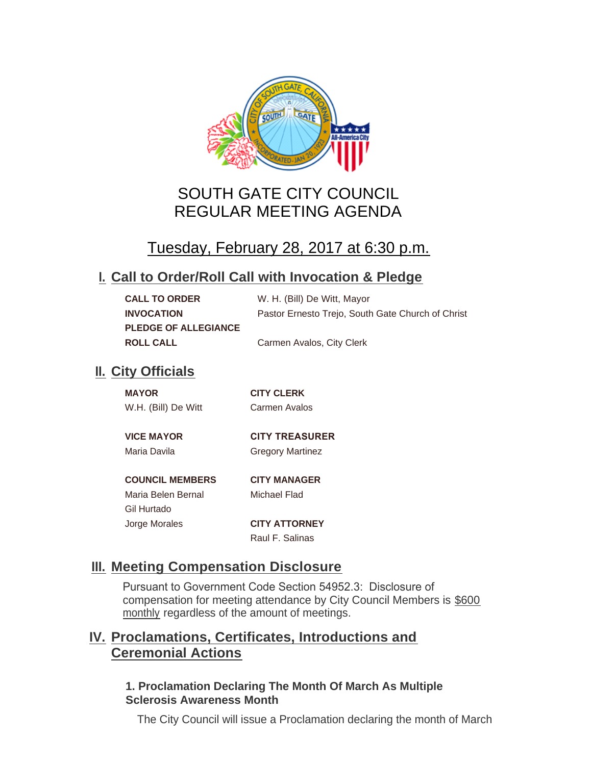

# SOUTH GATE CITY COUNCIL REGULAR MEETING AGENDA

# Tuesday, February 28, 2017 at 6:30 p.m.

## **Call to Order/Roll Call with Invocation & Pledge I.**

| <b>CALL TO ORDER</b>        | W. H. (Bill) De Witt, Mayor                       |
|-----------------------------|---------------------------------------------------|
| <b>INVOCATION</b>           | Pastor Ernesto Trejo, South Gate Church of Christ |
| <b>PLEDGE OF ALLEGIANCE</b> |                                                   |
| <b>ROLL CALL</b>            | Carmen Avalos, City Clerk                         |

## **II.** City Officials

Gil Hurtado

| <b>MAYOR</b>        | <b>CITY CLERK</b> |
|---------------------|-------------------|
| W.H. (Bill) De Witt | Carmen Avalos     |
|                     |                   |

#### **VICE MAYOR CITY TREASURER**  Maria Davila **Gregory Martinez**

## **COUNCIL MEMBERS CITY MANAGER**

Maria Belen Bernal Michael Flad

Jorge Morales **CITY ATTORNEY** Raul F. Salinas

## **Meeting Compensation Disclosure III.**

Pursuant to Government Code Section 54952.3: Disclosure of compensation for meeting attendance by City Council Members is \$600 monthly regardless of the amount of meetings.

## **Proclamations, Certificates, Introductions and IV. Ceremonial Actions**

## **1. Proclamation Declaring The Month Of March As Multiple Sclerosis Awareness Month**

The City Council will issue a Proclamation declaring the month of March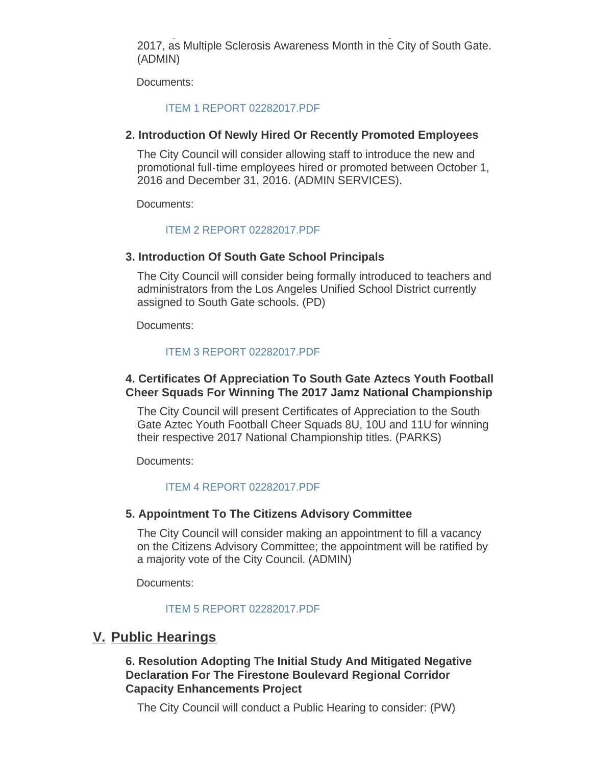The City Council will issue a Proclamation declaring the month of March 2017, as Multiple Sclerosis Awareness Month in the City of South Gate. (ADMIN)

Documents:

#### [ITEM 1 REPORT 02282017.PDF](http://cityofsouthgate.org/AgendaCenter/ViewFile/Item/3723?fileID=9136)

#### **2. Introduction Of Newly Hired Or Recently Promoted Employees**

The City Council will consider allowing staff to introduce the new and promotional full-time employees hired or promoted between October 1, 2016 and December 31, 2016. (ADMIN SERVICES).

Documents:

#### [ITEM 2 REPORT 02282017.PDF](http://cityofsouthgate.org/AgendaCenter/ViewFile/Item/3722?fileID=9137)

#### **3. Introduction Of South Gate School Principals**

The City Council will consider being formally introduced to teachers and administrators from the Los Angeles Unified School District currently assigned to South Gate schools. (PD)

Documents:

#### [ITEM 3 REPORT 02282017.PDF](http://cityofsouthgate.org/AgendaCenter/ViewFile/Item/3737?fileID=9145)

### **4. Certificates Of Appreciation To South Gate Aztecs Youth Football Cheer Squads For Winning The 2017 Jamz National Championship**

The City Council will present Certificates of Appreciation to the South Gate Aztec Youth Football Cheer Squads 8U, 10U and 11U for winning their respective 2017 National Championship titles. (PARKS)

Documents:

#### [ITEM 4 REPORT 02282017.PDF](http://cityofsouthgate.org/AgendaCenter/ViewFile/Item/3724?fileID=9138)

#### **5. Appointment To The Citizens Advisory Committee**

The City Council will consider making an appointment to fill a vacancy on the Citizens Advisory Committee; the appointment will be ratified by a majority vote of the City Council. (ADMIN)

Documents:

#### [ITEM 5 REPORT 02282017.PDF](http://cityofsouthgate.org/AgendaCenter/ViewFile/Item/3725?fileID=9139)

## **Public Hearings V.**

## **6. Resolution Adopting The Initial Study And Mitigated Negative Declaration For The Firestone Boulevard Regional Corridor Capacity Enhancements Project**

The City Council will conduct a Public Hearing to consider: (PW)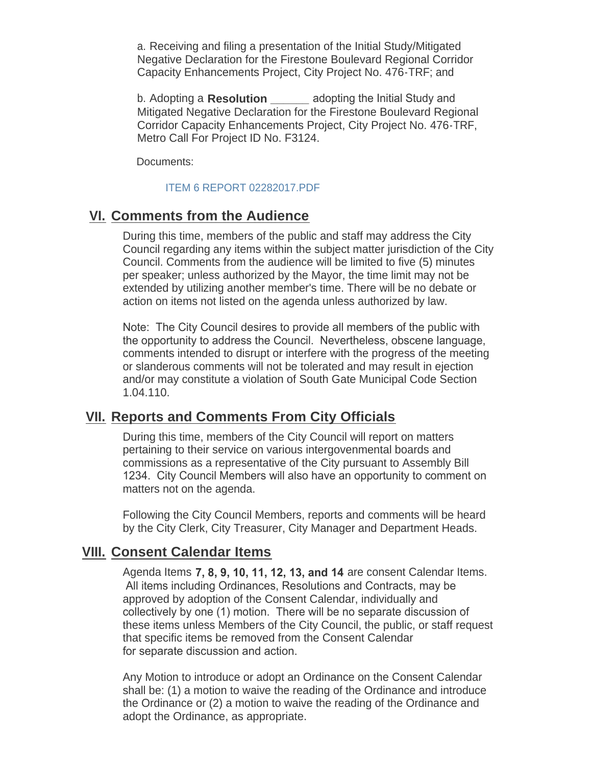a. Receiving and filing a presentation of the Initial Study/Mitigated Negative Declaration for the Firestone Boulevard Regional Corridor Capacity Enhancements Project, City Project No. 476-TRF; and

b. Adopting a **Resolution \_\_\_\_\_\_** adopting the Initial Study and Mitigated Negative Declaration for the Firestone Boulevard Regional Corridor Capacity Enhancements Project, City Project No. 476-TRF, Metro Call For Project ID No. F3124.

Documents:

#### [ITEM 6 REPORT 02282017.PDF](http://cityofsouthgate.org/AgendaCenter/ViewFile/Item/3754?fileID=9153)

## **Comments from the Audience VI.**

During this time, members of the public and staff may address the City Council regarding any items within the subject matter jurisdiction of the City Council. Comments from the audience will be limited to five (5) minutes per speaker; unless authorized by the Mayor, the time limit may not be extended by utilizing another member's time. There will be no debate or action on items not listed on the agenda unless authorized by law.

Note: The City Council desires to provide all members of the public with the opportunity to address the Council. Nevertheless, obscene language, comments intended to disrupt or interfere with the progress of the meeting or slanderous comments will not be tolerated and may result in ejection and/or may constitute a violation of South Gate Municipal Code Section 1.04.110.

## **Reports and Comments From City Officials VII.**

During this time, members of the City Council will report on matters pertaining to their service on various intergovenmental boards and commissions as a representative of the City pursuant to Assembly Bill 1234. City Council Members will also have an opportunity to comment on matters not on the agenda.

Following the City Council Members, reports and comments will be heard by the City Clerk, City Treasurer, City Manager and Department Heads.

## **Consent Calendar Items VIII.**

Agenda Items **7, 8, 9, 10, 11, 12, 13, and 14** are consent Calendar Items. All items including Ordinances, Resolutions and Contracts, may be approved by adoption of the Consent Calendar, individually and collectively by one (1) motion. There will be no separate discussion of these items unless Members of the City Council, the public, or staff request that specific items be removed from the Consent Calendar for separate discussion and action.

Any Motion to introduce or adopt an Ordinance on the Consent Calendar shall be: (1) a motion to waive the reading of the Ordinance and introduce the Ordinance or (2) a motion to waive the reading of the Ordinance and adopt the Ordinance, as appropriate.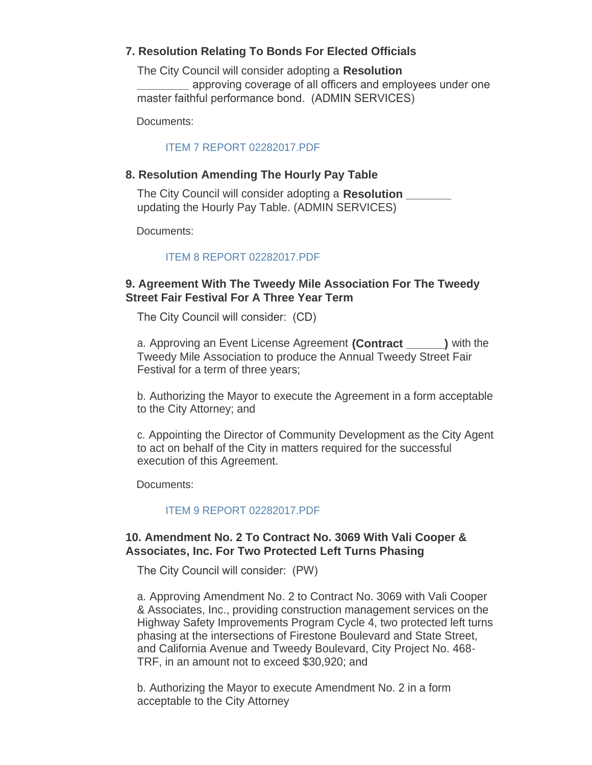## **7. Resolution Relating To Bonds For Elected Officials**

The City Council will consider adopting a **Resolution \_\_\_\_\_\_\_\_** approving coverage of all officers and employees under one master faithful performance bond. (ADMIN SERVICES)

Documents:

### [ITEM 7 REPORT 02282017.PDF](http://cityofsouthgate.org/AgendaCenter/ViewFile/Item/3752?fileID=9152)

### **8. Resolution Amending The Hourly Pay Table**

The City Council will consider adopting a **Resolution \_\_\_\_\_\_\_** updating the Hourly Pay Table. (ADMIN SERVICES)

Documents:

## [ITEM 8 REPORT 02282017.PDF](http://cityofsouthgate.org/AgendaCenter/ViewFile/Item/3738?fileID=9146)

## **9. Agreement With The Tweedy Mile Association For The Tweedy Street Fair Festival For A Three Year Term**

The City Council will consider: (CD)

a. Approving an Event License Agreement **(Contract \_\_\_\_\_\_)** with the Tweedy Mile Association to produce the Annual Tweedy Street Fair Festival for a term of three years;

b. Authorizing the Mayor to execute the Agreement in a form acceptable to the City Attorney; and

c. Appointing the Director of Community Development as the City Agent to act on behalf of the City in matters required for the successful execution of this Agreement.

Documents:

## [ITEM 9 REPORT 02282017.PDF](http://cityofsouthgate.org/AgendaCenter/ViewFile/Item/3775?fileID=9157)

## **10. Amendment No. 2 To Contract No. 3069 With Vali Cooper & Associates, Inc. For Two Protected Left Turns Phasing**

The City Council will consider: (PW)

a. Approving Amendment No. 2 to Contract No. 3069 with Vali Cooper & Associates, Inc., providing construction management services on the Highway Safety Improvements Program Cycle 4, two protected left turns phasing at the intersections of Firestone Boulevard and State Street, and California Avenue and Tweedy Boulevard, City Project No. 468- TRF, in an amount not to exceed \$30,920; and

b. Authorizing the Mayor to execute Amendment No. 2 in a form acceptable to the City Attorney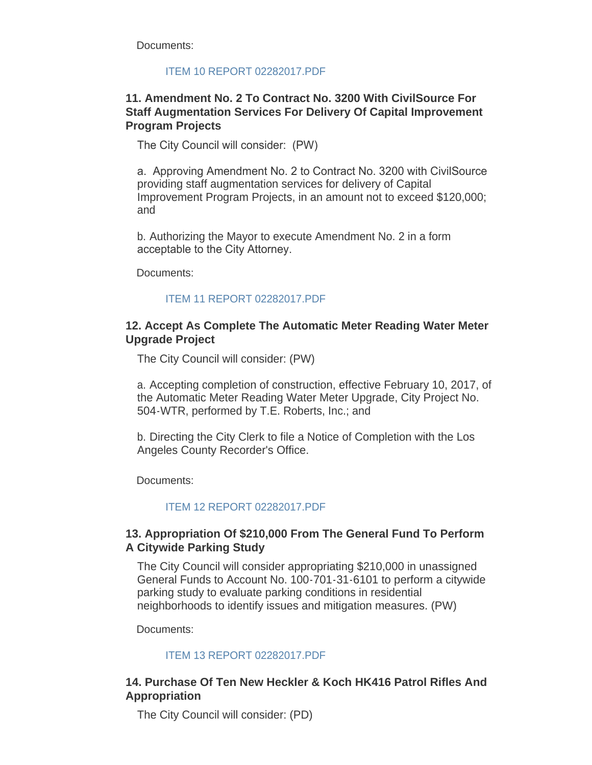Documents:

### [ITEM 10 REPORT 02282017.PDF](http://cityofsouthgate.org/AgendaCenter/ViewFile/Item/3739?fileID=9147)

## **11. Amendment No. 2 To Contract No. 3200 With CivilSource For Staff Augmentation Services For Delivery Of Capital Improvement Program Projects**

The City Council will consider: (PW)

a. Approving Amendment No. 2 to Contract No. 3200 with CivilSource providing staff augmentation services for delivery of Capital Improvement Program Projects, in an amount not to exceed \$120,000; and

b. Authorizing the Mayor to execute Amendment No. 2 in a form acceptable to the City Attorney.

Documents:

#### [ITEM 11 REPORT 02282017.PDF](http://cityofsouthgate.org/AgendaCenter/ViewFile/Item/3755?fileID=9154)

### **12. Accept As Complete The Automatic Meter Reading Water Meter Upgrade Project**

The City Council will consider: (PW)

a. Accepting completion of construction, effective February 10, 2017, of the Automatic Meter Reading Water Meter Upgrade, City Project No. 504-WTR, performed by T.E. Roberts, Inc.; and

b. Directing the City Clerk to file a Notice of Completion with the Los Angeles County Recorder's Office.

Documents:

[ITEM 12 REPORT 02282017.PDF](http://cityofsouthgate.org/AgendaCenter/ViewFile/Item/3740?fileID=9148)

## **13. Appropriation Of \$210,000 From The General Fund To Perform A Citywide Parking Study**

The City Council will consider appropriating \$210,000 in unassigned General Funds to Account No. 100-701-31-6101 to perform a citywide parking study to evaluate parking conditions in residential neighborhoods to identify issues and mitigation measures. (PW)

Documents:

#### [ITEM 13 REPORT 02282017.PDF](http://cityofsouthgate.org/AgendaCenter/ViewFile/Item/3741?fileID=9149)

## **14. Purchase Of Ten New Heckler & Koch HK416 Patrol Rifles And Appropriation**

The City Council will consider: (PD)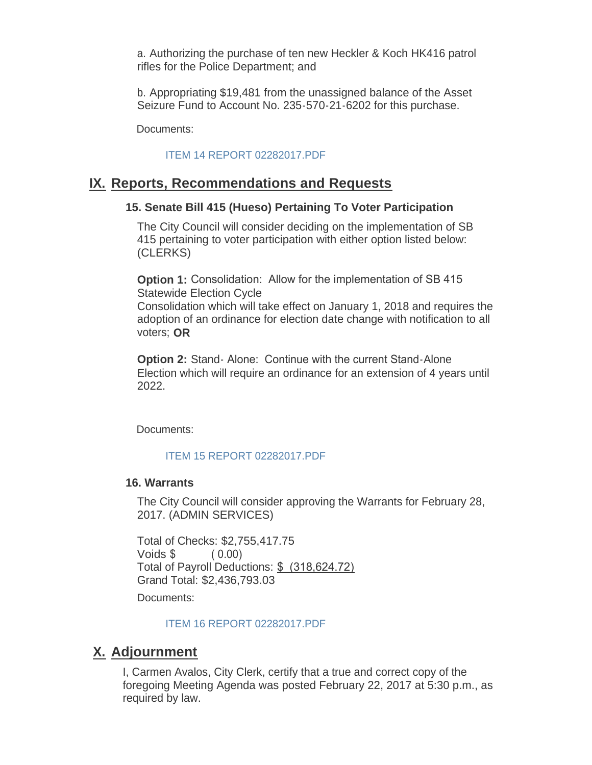a. Authorizing the purchase of ten new Heckler & Koch HK416 patrol rifles for the Police Department; and

b. Appropriating \$19,481 from the unassigned balance of the Asset Seizure Fund to Account No. 235-570-21-6202 for this purchase.

Documents:

#### [ITEM 14 REPORT 02282017.PDF](http://cityofsouthgate.org/AgendaCenter/ViewFile/Item/3749?fileID=9150)

## **IX. Reports, Recommendations and Requests**

### **15. Senate Bill 415 (Hueso) Pertaining To Voter Participation**

The City Council will consider deciding on the implementation of SB 415 pertaining to voter participation with either option listed below: (CLERKS)

**Option 1:** Consolidation: Allow for the implementation of SB 415 Statewide Election Cycle

Consolidation which will take effect on January 1, 2018 and requires the adoption of an ordinance for election date change with notification to all voters; **OR**

**Option 2: Stand-Alone: Continue with the current Stand-Alone** Election which will require an ordinance for an extension of 4 years until 2022.

Documents:

#### [ITEM 15 REPORT 02282017.PDF](http://cityofsouthgate.org/AgendaCenter/ViewFile/Item/3773?fileID=9156)

#### **16. Warrants**

The City Council will consider approving the Warrants for February 28, 2017. (ADMIN SERVICES)

Total of Checks: \$2,755,417.75 Voids \$ ( 0.00) Total of Payroll Deductions: \$ (318,624.72) Grand Total: \$2,436,793.03

Documents:

#### [ITEM 16 REPORT 02282017.PDF](http://cityofsouthgate.org/AgendaCenter/ViewFile/Item/3750?fileID=9151)

## **Adjournment X.**

I, Carmen Avalos, City Clerk, certify that a true and correct copy of the foregoing Meeting Agenda was posted February 22, 2017 at 5:30 p.m., as required by law.